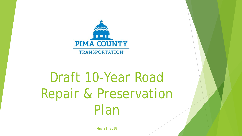

# Draft 10-Year Road Repair & Preservation Plan

May 21, 2018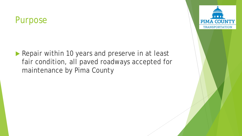#### Purpose

Repair within 10 years and preserve in at least fair condition, all paved roadways accepted for maintenance by Pima County

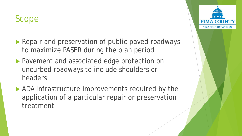# Scope

- Repair and preservation of public paved roadways to maximize PASER during the plan period
- **Pavement and associated edge protection on** uncurbed roadways to include shoulders or headers
- ADA infrastructure improvements required by the application of a particular repair or preservation treatment

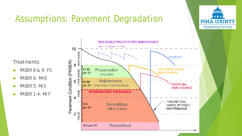# Assumptions: Pavement Degradation



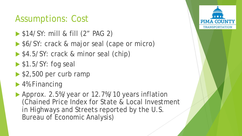### Assumptions: Cost

- **\$14/SY: mill & fill (2" PAG 2)**
- ▶ \$6/SY: crack & major seal (cape or micro)
- ▶ \$4.5/SY: crack & minor seal (chip)
- $\triangleright$  \$1.5/SY: fog seal
- $\blacktriangleright$  \$2,500 per curb ramp
- ▶ 4% Financing
- Approx. 2.5%/year or 12.7%/10 years inflation (Chained Price Index for State & Local Investment in Highways and Streets reported by the U.S. Bureau of Economic Analysis)

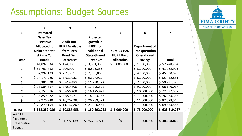# Assumptions: Budget Sources

| $\mathbf{1}$                                         | $\overline{2}$<br><b>Estimated</b><br><b>Sales Tax</b><br><b>Revenue</b><br><b>Allocated to</b><br>Unincorporate<br>d Pima Co. | 3<br><b>Additional</b><br><b>HURF Available</b><br>from 1997<br><b>Bond Debt</b> | $\overline{\mathbf{4}}$<br>Projected<br>growth in<br><b>HURF</b> from<br><b>Additional</b><br><b>State-Shared</b> | 5<br>Surplus 1997<br><b>HURF Bond</b> | 6<br>Department of<br><b>Transportation</b><br>Operational | 7                 |
|------------------------------------------------------|--------------------------------------------------------------------------------------------------------------------------------|----------------------------------------------------------------------------------|-------------------------------------------------------------------------------------------------------------------|---------------------------------------|------------------------------------------------------------|-------------------|
| Year                                                 | <b>Roads</b>                                                                                                                   | <b>Decreases</b>                                                                 | <b>Revenues</b>                                                                                                   | <b>Allocation</b>                     | <b>Savings</b>                                             | <b>Total</b>      |
| 1                                                    | \$41,892,034                                                                                                                   | \$<br>174,900                                                                    | \$<br>3,681,330                                                                                                   | \$6,000,000                           | \$1,000,000                                                | \$.<br>52,748,264 |
| $\overline{2}$                                       | \$31,752,782                                                                                                                   | \$<br>704,900                                                                    | \$<br>5,605,233                                                                                                   |                                       | \$3,000,000                                                | \$<br>41,062,915  |
| 3                                                    | \$32,992,193                                                                                                                   | \$751,533                                                                        | \$7,586,853                                                                                                       |                                       | \$4,000,000                                                | \$<br>45,330,579  |
| $\overline{4}$                                       | \$34,173,926                                                                                                                   | 5,631,033<br>\$                                                                  | \$9,627,922                                                                                                       |                                       | \$6,000,000                                                | \$<br>55,432,881  |
| 5                                                    | \$35,381,690                                                                                                                   | \$5,619,483                                                                      | \$11,730,222                                                                                                      |                                       | \$7,000,000                                                | \$<br>59,731,395  |
| 6                                                    | \$<br>36,584,667                                                                                                               | 8,659,808<br>\$.                                                                 | 13,895,592<br>\$                                                                                                  |                                       | \$9,000,000                                                | \$<br>68,140,067  |
| $\overline{7}$                                       | \$37,755,376                                                                                                                   | \$<br>8,656,208                                                                  | 16,125,923<br>\$                                                                                                  |                                       | \$10,000,000                                               | \$<br>72,537,507  |
| 8                                                    | \$<br>38,850,282                                                                                                               | \$.<br>8,659,921                                                                 | \$<br>18,423,163                                                                                                  |                                       | \$11,000,000                                               | \$<br>76,933,366  |
| 9                                                    | \$39,976,940                                                                                                                   | \$<br>10,262,283                                                                 | \$<br>20,789,321                                                                                                  |                                       | \$11,000,000                                               | \$.<br>82,028,545 |
| 10                                                   | \$23,879,194                                                                                                                   | 11,767,889<br>\$                                                                 | \$23,226,464                                                                                                      |                                       | \$11,000,000                                               | \$.<br>69,873,548 |
| <b>TOTAL</b>                                         | \$353,239,086                                                                                                                  | \$<br>60,887,958                                                                 | \$130,692,023                                                                                                     | \$6,000,000                           | \$73,000,000                                               | \$<br>623,819,067 |
| Year 11<br>Pavement<br>Preservation<br><b>Budget</b> | \$0                                                                                                                            | \$11,772,139                                                                     | \$25,736,721                                                                                                      | \$0                                   | \$11,000,000                                               | \$48,508,860      |

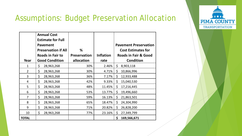

#### Assumptions: Budget Preservation Allocation

| Year           | <b>Annual Cost</b><br><b>Estimate for Full</b><br><b>Pavement</b><br><b>Preservation if All</b><br><b>Roads in Fair to</b><br><b>Good Condition</b> | %<br><b>Preservation</b><br>allocation | <b>Inflation</b><br>rate | <b>Pavement Preservation</b><br><b>Cost Estimates for</b><br><b>Roads in Fair &amp; Good</b><br><b>Condition</b> |
|----------------|-----------------------------------------------------------------------------------------------------------------------------------------------------|----------------------------------------|--------------------------|------------------------------------------------------------------------------------------------------------------|
| $\mathbf{1}$   | \$<br>28,963,268                                                                                                                                    | 30%                                    | 2.46%                    | \$<br>8,903,118                                                                                                  |
| $\overline{2}$ | \$<br>28,963,268                                                                                                                                    | 30%                                    | 4.71%                    | \$<br>10,866,996                                                                                                 |
| 3              | \$<br>28,963,268                                                                                                                                    | 36%                                    | 7.17%                    | \$<br>12,933,488                                                                                                 |
| 4              | \$<br>28,963,268                                                                                                                                    | 42%                                    | 9.33%                    | \$<br>15,040,530                                                                                                 |
| 5              | \$<br>28,963,268                                                                                                                                    | 48%                                    | 11.45%                   | \$<br>17,216,445                                                                                                 |
| 6              | \$<br>28,963,268                                                                                                                                    | 53%                                    | 13.77%                   | \$<br>19,496,660                                                                                                 |
| $\overline{7}$ | \$<br>28,963,268                                                                                                                                    | 59%                                    | 16.13%                   | \$<br>21,863,501                                                                                                 |
| 8              | \$<br>28,963,268                                                                                                                                    | 65%                                    | 18.47%                   | \$<br>24,304,990                                                                                                 |
| 9              | \$<br>28,963,268                                                                                                                                    | 71%                                    | 20.82%                   | \$<br>26,828,200                                                                                                 |
| 10             | \$<br>28,963,268                                                                                                                                    | 77%                                    | 23.16%                   | \$<br>27,349,799                                                                                                 |
| <b>TOTAL</b>   |                                                                                                                                                     |                                        |                          | \$<br>169,566,671                                                                                                |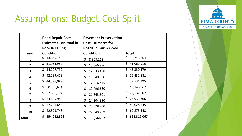#### $\blacksquare$ **PIMA COUNTY TRANSPORTATION**

# Assumptions: Budget Cost Split

|                | <b>Road Repair Cost</b><br><b>Estimates For Road in</b><br>Poor & Failing | <b>Pavement Preservation</b><br><b>Cost Estimates for</b><br><b>Roads in Fair &amp; Good</b> |              |  |  |  |
|----------------|---------------------------------------------------------------------------|----------------------------------------------------------------------------------------------|--------------|--|--|--|
| Year           | <b>Condition</b>                                                          | <b>Condition</b>                                                                             | <b>Total</b> |  |  |  |
| $\mathbf{1}$   | \$                                                                        | 8,903,118                                                                                    | 52,748,264   |  |  |  |
|                | 43,845,146                                                                | \$                                                                                           | Ś.           |  |  |  |
| $\overline{2}$ | \$                                                                        | 10,866,996                                                                                   | \$           |  |  |  |
|                | 31,964,957                                                                | \$                                                                                           | 41,062,915   |  |  |  |
| 3              | \$                                                                        | \$                                                                                           | Ś.           |  |  |  |
|                | 34,207,799                                                                | 12,933,488                                                                                   | 45,330,579   |  |  |  |
| 4              | \$                                                                        | 15,040,530                                                                                   | \$.          |  |  |  |
|                | 42,239,423                                                                | \$                                                                                           | 55,432,881   |  |  |  |
| 5              | \$                                                                        | \$                                                                                           | Ś.           |  |  |  |
|                | 44,397,989                                                                | 17,216,445                                                                                   | 59,731,395   |  |  |  |
| 6              | \$                                                                        | \$                                                                                           | \$           |  |  |  |
|                | 50,565,634                                                                | 19,496,660                                                                                   | 68,140,067   |  |  |  |
| $\overline{7}$ | \$                                                                        | \$                                                                                           | Ś.           |  |  |  |
|                | 52,636,104                                                                | 21,863,501                                                                                   | 72,537,507   |  |  |  |
| 8              | \$                                                                        | 24,304,990                                                                                   | Ŝ.           |  |  |  |
|                | 54,629,953                                                                | \$                                                                                           | 76,933,366   |  |  |  |
| 9              | \$                                                                        | \$                                                                                           | Ś.           |  |  |  |
|                | 57,241,643                                                                | 26,828,200                                                                                   | 82,028,545   |  |  |  |
| 10             | \$                                                                        | \$                                                                                           | \$           |  |  |  |
|                | 42,523,748                                                                | 27,349,799                                                                                   | 69,873,548   |  |  |  |
| <b>Total</b>   | \$                                                                        | 169,566,671                                                                                  | \$           |  |  |  |
|                | 454,252,396                                                               | \$                                                                                           | 623,819,067  |  |  |  |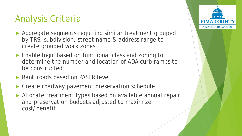# Analysis Criteria

- ▶ Aggregate segments requiring similar treatment grouped by TRS, subdivision, street name & address range to create grouped work zones
- ▶ Enable logic based on functional class and zoning to determine the number and location of ADA curb ramps to be constructed
- ▶ Rank roads based on PASER level
- ▶ Create roadway pavement preservation schedule
- Allocate treatment types based on available annual repair and preservation budgets adjusted to maximize cost/benefit

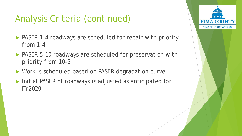# Analysis Criteria (continued)

- ▶ PASER 1-4 roadways are scheduled for repair with priority from 1-4
- ▶ PASER 5-10 roadways are scheduled for preservation with priority from 10-5
- ▶ Work is scheduled based on PASER degradation curve
- Initial PASER of roadways is adjusted as anticipated for FY2020

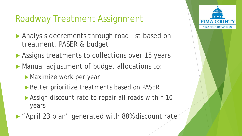# Roadway Treatment Assignment

- Analysis decrements through road list based on treatment, PASER & budget
- Assigns treatments to collections over 15 years
- **Manual adjustment of budget allocations to:** 
	- **Maximize work per year**
	- ▶ Better prioritize treatments based on PASER
	- Assign discount rate to repair all roads within 10 years
- "April 23 plan" generated with 88% discount rate

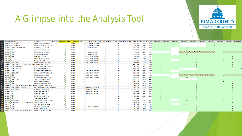

## A Glimpse into the Analysis Tool

| <b>T</b> Collection ROADID                                                                                                                    | <b>STREET</b>                    | <b>MAPTIPT</b> actionYea Action |       | <b>ActionNar FUNCCLALEFTSUB RIGHTSULLEFTBOS RIGHTBO PASER</b> REATMEN COST LENGTH ADD MIN ADD MAX1 planYear |                         |                |          |          |       | 2 planYear 3 planYear 4 planYear 5 planYear 6 planYear |     |  | 7 planYear | 8 planYear 9 planYear | 10 planYea |
|-----------------------------------------------------------------------------------------------------------------------------------------------|----------------------------------|---------------------------------|-------|-------------------------------------------------------------------------------------------------------------|-------------------------|----------------|----------|----------|-------|--------------------------------------------------------|-----|--|------------|-----------------------|------------|
| 5584<br>5585<br>5585 5586<br>5586 5588<br>5589 5592<br>5593 5593<br>5595 5596<br>5595 5596<br>5595 5596<br>5595 5596<br>1005582 213531.213532 | <b>E SANDS RANCH RD Total</b>    |                                 | 3 M/F | <b>0 MOUNTAIN VIEW RA</b>                                                                                   | Δ                       |                | 2884.686 | 14300    | 14573 |                                                        |     |  |            |                       |            |
| 1005583 213535,213534                                                                                                                         | <b>S SUNDOWN RANCH RD Total</b>  |                                 | 3 M/F | <b>0 MOUNTAIN VIEW RA</b>                                                                                   | 4                       |                | 2598.714 | 13344    | 13699 |                                                        |     |  |            |                       |            |
| 1005584 142032,241436,241437                                                                                                                  | <b>S SONOITA RANCH CI Total</b>  |                                 | 5 MjS | 0 SONOITA RANCH (1-                                                                                         | 4                       |                | 4024.17  | 13400    | 13673 |                                                        | 4.6 |  |            |                       |            |
| 1005585 34347                                                                                                                                 | <b>S WENTWORTH RD Total</b>      |                                 | 2 M/F |                                                                                                             | 4                       |                | 13089.8  | 12574    | 14499 |                                                        | 1.5 |  |            |                       |            |
| 1005586 213877                                                                                                                                | <b>E MOKES MILE TR Total</b>     |                                 | 4 M/F | 0 J D RANCH (1-110)                                                                                         | 4                       | 5              | 55.003   | 14290    | 14299 |                                                        |     |  |            | 4.1                   |            |
| 10055873100                                                                                                                                   | N DAVIDSON RD Total              |                                 | 5 MjS | 0 J D RANCH (1-110)                                                                                         | $\overline{a}$          |                | 267.67   | 1900     | 1949  |                                                        | 4.6 |  |            |                       |            |
| 1005588 12234                                                                                                                                 | <b>E FARINO PL Total</b>         |                                 | 1 M/F | <b>0 RINCON VIEW ESTAT</b>                                                                                  | $\overline{a}$          |                | 630.962  | 3900     | 3975  |                                                        |     |  |            |                       |            |
| 1005589 3257                                                                                                                                  | <b>E MESCALERO DR Total</b>      |                                 | 1 M/F | <b>0 RINCON VIEW ESTAT</b>                                                                                  | $\mathbf{A}$            |                | 3346.18  | 3210     | 3673  |                                                        |     |  |            |                       |            |
| 1005590 15420                                                                                                                                 | <b>E NANA DR Total</b>           |                                 | 2 M/F | <b>0 RINCON VIEW ESTAT</b>                                                                                  | $\Delta$                | $\overline{2}$ | 2611.965 | 3700     | 3951  |                                                        | 1.5 |  |            |                       |            |
| 1005591 44480.55958                                                                                                                           | <b>E RINCON VIEW DR Total</b>    |                                 | 1 M/F | <b>0 RINCON VIEW ESTAT</b>                                                                                  | $\overline{\mathbf{A}}$ |                | 5301.6   | 3200     | 3899  |                                                        |     |  |            |                       |            |
| 1005592 12104.78091.487039.507073.507074.5 E ANDRADA RD Total                                                                                 |                                  |                                 | 1 M/F | 18                                                                                                          | $\overline{\bf{4}}$     |                | 5317.696 | 3124     | 3899  |                                                        |     |  |            |                       |            |
| 1005593 32935.44872.30984                                                                                                                     | N CALLE RINCONADO Total          |                                 | 1 M/F | $\Omega$                                                                                                    | 4                       |                | 2453.785 | 1600     | 1849  |                                                        |     |  |            |                       |            |
| 1005594 31005,43961,51505                                                                                                                     | N DAVIDSON RD Total              |                                 | 2 M/F | $\Omega$                                                                                                    | 4                       |                | 2609.019 | 1600     | 1899  |                                                        |     |  |            |                       |            |
| 1005595 219220                                                                                                                                | <b>E COSTELLO RANCH PL Total</b> |                                 | 5 MjS | <b>0 MOUNTAIN VIEW RA</b>                                                                                   | 4                       |                | 442.523  | 14324    | 14373 |                                                        | 4.6 |  |            |                       |            |
| 1005596 155212.36193                                                                                                                          | <b>E MARSH STATION RD Total</b>  |                                 | 1 M/F | <b>18 MOUNTAIN VIEW RA</b>                                                                                  | -4                      |                | 1539.427 | 14800    | 14999 |                                                        |     |  |            |                       |            |
| 1005597 39228                                                                                                                                 | <b>E MOKES MILE TR Total</b>     |                                 | 4 M/F | <b>0 MOUNTAIN VIEW RA</b>                                                                                   | $\overline{a}$          | 5              | 679.391  | 14300    | 14389 |                                                        |     |  |            | 4.1                   |            |
| 1005598 219224                                                                                                                                | <b>E WOOD CANYON PL Total</b>    |                                 | 5 MiS | <b>0 MOUNTAIN VIEW RA</b>                                                                                   | $\overline{4}$          |                | 1092.339 | 14400    | 14549 |                                                        | 4.6 |  |            |                       |            |
| 1005599 212591.53182                                                                                                                          | <b>S OLD SONOITA HY Total</b>    |                                 | 2 M/F | $\Omega$                                                                                                    | $\overline{A}$          |                | 6087.053 | 13800    | 14499 |                                                        |     |  |            |                       |            |
| 1005600 2476                                                                                                                                  | <b>E OLD SPANISH TR Total</b>    |                                 | 9 FS  | 8                                                                                                           | Δ                       | 10             | 4487.031 | 16274    | 16723 |                                                        |     |  |            |                       |            |
| 1005601 53894                                                                                                                                 | E COLOSSAL CAVE RD Total         |                                 | 1 M/F |                                                                                                             | 4                       |                | 4249.9   | 15900    | 16499 |                                                        |     |  |            |                       |            |
| 1005602 87046.17602.26281.87045.212599.116 E MARSH STATION RD Total                                                                           |                                  |                                 | 1 M/F |                                                                                                             |                         |                | 33102.21 | 15900    | 20023 |                                                        |     |  |            |                       |            |
| 5605<br>5606<br>5607<br>5608<br>5610<br>5611<br>1005603 42728,8449,37432,36748                                                                | W DIAMOND BELL RANCH RD Total    |                                 | 1 M/F | 8 DIAMOND BELL RAN                                                                                          |                         |                | 3364.424 | 14200    | 14699 |                                                        |     |  |            |                       |            |
| 1005604 16878,30803                                                                                                                           | <b>S AVENIDA HALEY Total</b>     |                                 | 1 M/F | <b>0 OCOTILLO RANCHES</b>                                                                                   |                         |                | 2606.438 | 15700    | 16099 |                                                        |     |  |            |                       |            |
| 1005605 49914                                                                                                                                 | <b>W CALLE QUATRO Total</b>      |                                 | 1 M/F | <b>0 OCOTILLO RANCHES</b>                                                                                   |                         |                | 1326.25  | 7000     | 7199  |                                                        |     |  |            |                       |            |
| 1005606 47649                                                                                                                                 | <b>W CALLE UNO Total</b>         |                                 | 1 M/F | <b>0 OCOTILLO RANCHES</b>                                                                                   |                         |                | 1250.07  | 6799     | 6999  |                                                        |     |  |            |                       |            |
| 1005607 5720                                                                                                                                  | <b>S AVENIDA HALEY Total</b>     |                                 | 1 M/F | $\Omega$                                                                                                    | $\overline{\mathbf{3}}$ |                | 671.521  | 15600    | 15699 |                                                        |     |  |            |                       |            |
| 1005608 117128                                                                                                                                | W CALLE UNO Total                |                                 | 1 M/F | $\Omega$                                                                                                    |                         |                | 57.228   | $\Omega$ |       |                                                        |     |  |            |                       |            |
| 1005609 2692,50789                                                                                                                            | W OCOTILLO RANCH RD Total        |                                 | 2 M/F | $\mathbf{0}$                                                                                                | $\overline{\mathbf{3}}$ | $\overline{2}$ | 5804.435 | 6199     | 6699  |                                                        | 1.5 |  |            |                       |            |
| 5612<br>5613<br>5614<br>5615<br>1005610 6650, 201014, 201540, 196320, 201534                                                                  | S MISSION RD Total               |                                 | 1 M/F | $\overline{7}$                                                                                              | 3                       |                | 14797.1  | 15300    | 16949 |                                                        |     |  |            |                       |            |
| 1005611 19608                                                                                                                                 | W HELMET PEAK RD Total           |                                 | 2 M/F | $\overline{7}$                                                                                              | 3                       | $\overline{2}$ | 3713.501 | 4600     | 5199  |                                                        | 1.5 |  |            |                       |            |
| 1005612 53956                                                                                                                                 | <b>W CALLE QUATRO Total</b>      |                                 | 1 M/F | <b>0 OCOTILLO RANCHES</b>                                                                                   | $\mathbf{3}$            |                | 1321.931 | 7200     | 7399  |                                                        |     |  |            |                       |            |
| 1005613 200972                                                                                                                                | <b>S MISSION RD Total</b>        |                                 | 1 M/F |                                                                                                             |                         |                | 1781.798 | 16950    | 17199 |                                                        |     |  |            |                       |            |
| 5616<br>1005614 53944.200988.206330.24448.2606                                                                                                | <b>W MCGEE RANCH RD Total</b>    |                                 | 1 M/F | $\mathbf{O}$                                                                                                | $\overline{\mathbf{3}}$ |                | 15352.45 | 5400     | 9173  |                                                        |     |  |            |                       |            |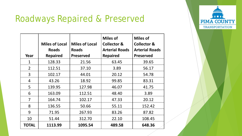## Roadways Repaired & Preserved

|                | <b>Miles of Local</b><br><b>Roads</b> | <b>Miles of Local</b><br><b>Roads</b> | <b>Miles of</b><br><b>Collector &amp;</b><br><b>Arterial Roads</b> | <b>Miles of</b><br><b>Collector &amp;</b><br><b>Arterial Roads</b> |
|----------------|---------------------------------------|---------------------------------------|--------------------------------------------------------------------|--------------------------------------------------------------------|
| Year           | <b>Repaired</b>                       | <b>Preserved</b>                      | <b>Repaired</b>                                                    | <b>Preserved</b>                                                   |
| 1              | 128.33                                | 21.56                                 | 63.45                                                              | 39.65                                                              |
| $\overline{2}$ | 112.51                                | 37.10                                 | 3.89                                                               | 56.17                                                              |
| 3              | 102.17                                | 44.01                                 | 20.12                                                              | 54.78                                                              |
| 4              | 43.26                                 | 18.92                                 | 99.85                                                              | 83.31                                                              |
| 5              | 139.95                                | 127.98                                | 46.07                                                              | 41.75                                                              |
| 6              | 163.09                                | 112.51                                | 48.40                                                              | 3.89                                                               |
| 7              | 164.74                                | 102.17                                | 47.33                                                              | 20.12                                                              |
| 8              | 136.55                                | 50.66                                 | 55.11                                                              | 152.42                                                             |
| 9              | 71.95                                 | 267.93                                | 83.26                                                              | 87.82                                                              |
| 10             | 51.44                                 | 312.70                                | 22.10                                                              | 108.45                                                             |
| <b>TOTAL</b>   | 1113.99                               | 1095.54                               | 489.58                                                             | 648.36                                                             |

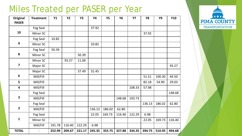#### Miles Treated per PASER per Year

| <b>Original</b><br><b>PASER</b> | <b>Treatment</b> | Y1     | <b>Y2</b> | <b>Y3</b> | <b>Y4</b> | <b>Y5</b> | <b>Y6</b> | <b>Y7</b> | <b>Y8</b> | <b>Y9</b> | <b>Y10</b> |
|---------------------------------|------------------|--------|-----------|-----------|-----------|-----------|-----------|-----------|-----------|-----------|------------|
|                                 | Fog Seal         |        |           |           | 37.92     |           |           |           |           |           |            |
| 10                              | Minor SC         |        |           |           |           |           |           |           | 37.92     |           |            |
|                                 | Fog Seal         | 10.82  |           |           |           |           |           |           |           |           |            |
| $\boldsymbol{9}$                | Minor SC         |        |           |           | 10.82     |           |           |           |           |           |            |
|                                 | Fog Seal         | 50.39  |           |           |           |           |           |           |           |           |            |
| 8                               | Minor SC         |        |           | 50.39     |           |           |           |           |           |           |            |
|                                 | Minor SC         |        | 93.27     | 11.00     |           |           |           |           |           |           |            |
| $\overline{\mathbf{z}}$         | Major SC         |        |           |           |           |           |           |           |           |           | 93.27      |
|                                 | Major SC         |        |           | 37.49     | 31.45     |           |           |           |           |           |            |
| $6\phantom{1}$                  | Mill/Fill        |        |           |           |           |           |           |           | 51.51     | 100.30    | 44.50      |
| 5                               | Mill/Fill        |        |           |           |           |           |           |           | 82.18     | 54.90     | 29.03      |
| $\overline{\mathbf{4}}$         | Mill/Fill        |        |           |           |           |           |           | 108.33    | 57.98     |           |            |
|                                 | Fog Seal         |        |           |           |           |           |           |           |           |           | 148.68     |
| $\overline{\mathbf{3}}$         | Mill/Fill        |        |           |           |           |           | 148.68    | 103.73    |           |           |            |
|                                 | Fog Seal         |        |           |           |           |           |           |           | 136.13    | 186.02    | 62.80      |
| $\overline{2}$                  | Mill/Fill        |        |           |           | 136.13    | 186.02    | 62.80     |           |           |           |            |
|                                 | Fog Seal         |        |           |           | 22.05     | 169.73    | 116.40    | 122.29    | 6.98      |           |            |
| $\mathbf{1}$                    | Minor SC         |        |           |           |           |           |           |           | 22.05     | 169.73    | 116.40     |
|                                 | Mill/Fill        | 191.78 | 116.40    | 122.29    | 6.98      |           |           |           |           |           |            |
| <b>TOTAL</b>                    |                  | 252.99 | 209.67    | 221.17    | 245.35    | 355.75    | 327.88    | 334.35    | 394.75    | 510.95    | 494.68     |

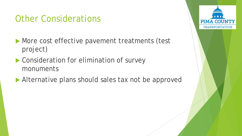# Other Considerations

- **More cost effective pavement treatments (test** project)
- ▶ Consideration for elimination of survey monuments
- Alternative plans should sales tax not be approved